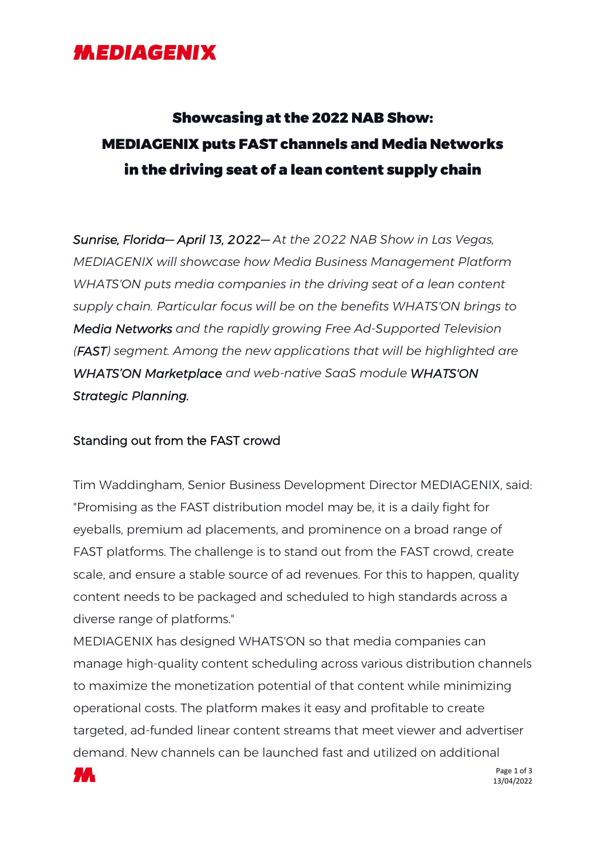### *MEDIAGENIX*

# Showcasing at the 2022 NAB Show: MEDIAGENIX puts FAST channels and Media Networks in the driving seat of a lean content supply chain

*Sunrise, Florida— April 13, 2022— At the 2022 NAB Show in Las Vegas, MEDIAGENIX will showcase how Media Business Management Platform WHATS'ON puts media companies in the driving seat of a lean content supply chain. Particular focus will be on the benefits WHATS'ON brings to Media Networks and the rapidly growing Free Ad-Supported Television (FAST) segment. Among the new applications that will be highlighted are WHATS'ON Marketplace and web-native SaaS module WHATS'ON Strategic Planning.*

#### Standing out from the FAST crowd

Tim Waddingham, Senior Business Development Director MEDIAGENIX, said: "Promising as the FAST distribution model may be, it is a daily fight for eyeballs, premium ad placements, and prominence on a broad range of FAST platforms. The challenge is to stand out from the FAST crowd, create scale, and ensure a stable source of ad revenues. For this to happen, quality content needs to be packaged and scheduled to high standards across a diverse range of platforms."

MEDIAGENIX has designed WHATS'ON so that media companies can manage high-quality content scheduling across various distribution channels to maximize the monetization potential of that content while minimizing operational costs. The platform makes it easy and profitable to create targeted, ad-funded linear content streams that meet viewer and advertiser demand. New channels can be launched fast and utilized on additional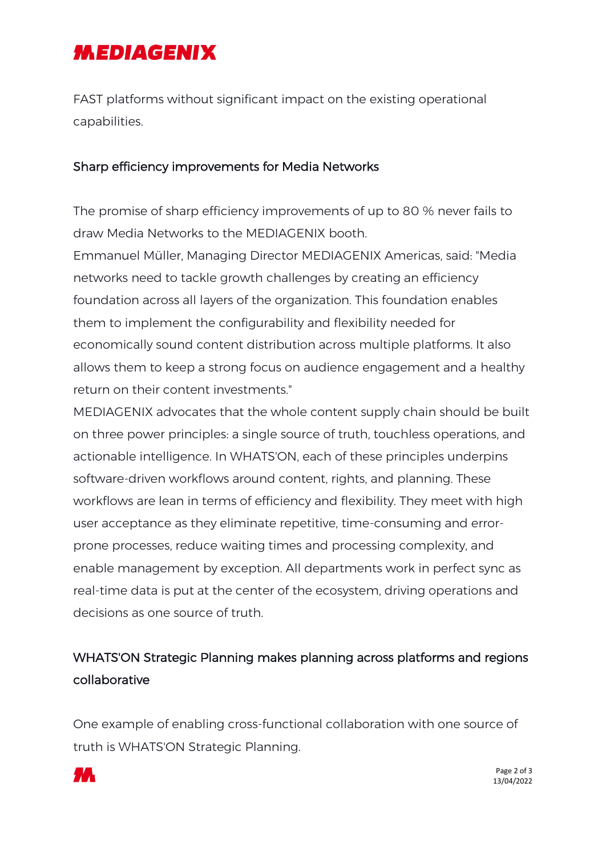# **MEDIAGENIX**

FAST platforms without significant impact on the existing operational capabilities.

#### Sharp efficiency improvements for Media Networks

The promise of sharp efficiency improvements of up to 80 % never fails to draw Media Networks to the MEDIAGENIX booth.

Emmanuel Müller, Managing Director MEDIAGENIX Americas, said: "Media networks need to tackle growth challenges by creating an efficiency foundation across all layers of the organization. This foundation enables them to implement the configurability and flexibility needed for economically sound content distribution across multiple platforms. It also allows them to keep a strong focus on audience engagement and a healthy return on their content investments."

MEDIAGENIX advocates that the whole content supply chain should be built on three power principles: a single source of truth, touchless operations, and actionable intelligence. In WHATS'ON, each of these principles underpins software-driven workflows around content, rights, and planning. These workflows are lean in terms of efficiency and flexibility. They meet with high user acceptance as they eliminate repetitive, time-consuming and errorprone processes, reduce waiting times and processing complexity, and enable management by exception. All departments work in perfect sync as real-time data is put at the center of the ecosystem, driving operations and decisions as one source of truth.

### WHATS'ON Strategic Planning makes planning across platforms and regions collaborative

One example of enabling cross-functional collaboration with one source of truth is WHATS'ON Strategic Planning.